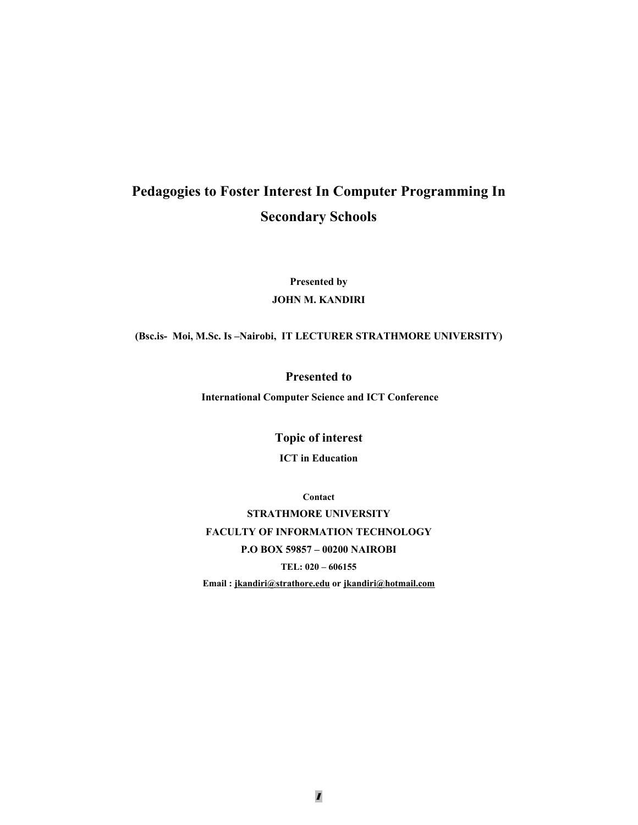# **Pedagogies to Foster Interest In Computer Programming In Secondary Schools**

**Presented by JOHN M. KANDIRI** 

**(Bsc.is- Moi, M.Sc. Is –Nairobi, IT LECTURER STRATHMORE UNIVERSITY)** 

**Presented to** 

 **International Computer Science and ICT Conference** 

**Topic of interest** 

**ICT in Education** 

**Contact** 

**STRATHMORE UNIVERSITY FACULTY OF INFORMATION TECHNOLOGY P.O BOX 59857 – 00200 NAIROBI TEL: 020 – 606155 Email : jkandiri@strathore.edu or jkandiri@hotmail.com**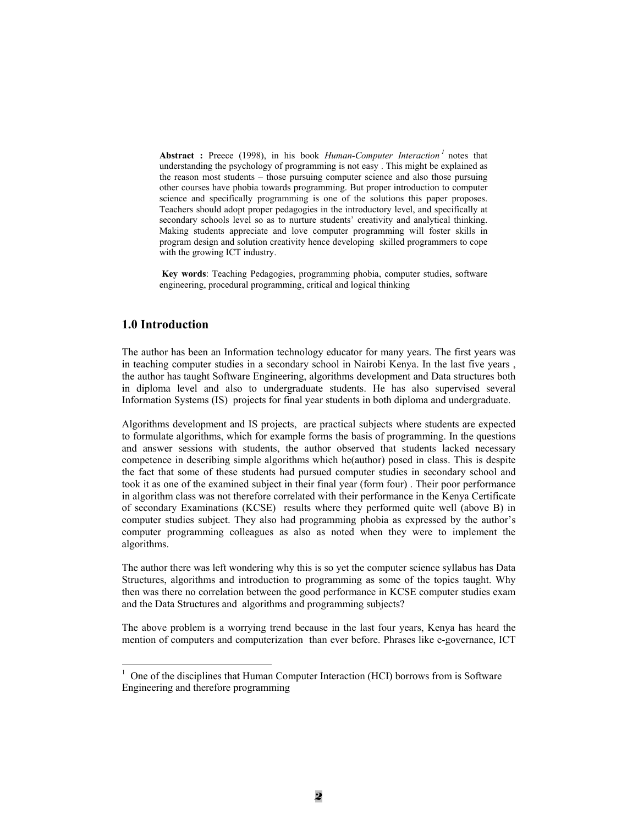Abstract : Preece (1998), in his book *Human-Computer Interaction*<sup>1</sup> notes that understanding the psychology of programming is not easy . This might be explained as the reason most students – those pursuing computer science and also those pursuing other courses have phobia towards programming. But proper introduction to computer science and specifically programming is one of the solutions this paper proposes. Teachers should adopt proper pedagogies in the introductory level, and specifically at secondary schools level so as to nurture students' creativity and analytical thinking. Making students appreciate and love computer programming will foster skills in program design and solution creativity hence developing skilled programmers to cope with the growing ICT industry.

 **Key words**: Teaching Pedagogies, programming phobia, computer studies, software engineering, procedural programming, critical and logical thinking

## **1.0 Introduction**

 $\overline{a}$ 

The author has been an Information technology educator for many years. The first years was in teaching computer studies in a secondary school in Nairobi Kenya. In the last five years , the author has taught Software Engineering, algorithms development and Data structures both in diploma level and also to undergraduate students. He has also supervised several Information Systems (IS) projects for final year students in both diploma and undergraduate.

Algorithms development and IS projects, are practical subjects where students are expected to formulate algorithms, which for example forms the basis of programming. In the questions and answer sessions with students, the author observed that students lacked necessary competence in describing simple algorithms which he(author) posed in class. This is despite the fact that some of these students had pursued computer studies in secondary school and took it as one of the examined subject in their final year (form four) . Their poor performance in algorithm class was not therefore correlated with their performance in the Kenya Certificate of secondary Examinations (KCSE) results where they performed quite well (above B) in computer studies subject. They also had programming phobia as expressed by the author's computer programming colleagues as also as noted when they were to implement the algorithms.

The author there was left wondering why this is so yet the computer science syllabus has Data Structures, algorithms and introduction to programming as some of the topics taught. Why then was there no correlation between the good performance in KCSE computer studies exam and the Data Structures and algorithms and programming subjects?

The above problem is a worrying trend because in the last four years, Kenya has heard the mention of computers and computerization than ever before. Phrases like e-governance, ICT

 $1$  One of the disciplines that Human Computer Interaction (HCI) borrows from is Software Engineering and therefore programming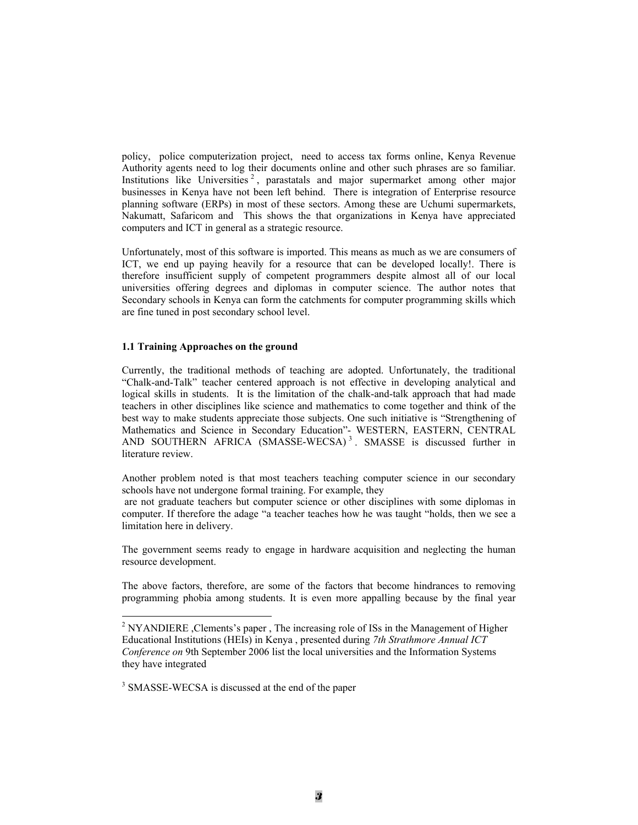policy, police computerization project, need to access tax forms online, Kenya Revenue Authority agents need to log their documents online and other such phrases are so familiar. Institutions like Universities<sup>2</sup>, parastatals and major supermarket among other major businesses in Kenya have not been left behind. There is integration of Enterprise resource planning software (ERPs) in most of these sectors. Among these are Uchumi supermarkets, Nakumatt, Safaricom and This shows the that organizations in Kenya have appreciated computers and ICT in general as a strategic resource.

Unfortunately, most of this software is imported. This means as much as we are consumers of ICT, we end up paying heavily for a resource that can be developed locally!. There is therefore insufficient supply of competent programmers despite almost all of our local universities offering degrees and diplomas in computer science. The author notes that Secondary schools in Kenya can form the catchments for computer programming skills which are fine tuned in post secondary school level.

#### **1.1 Training Approaches on the ground**

Currently, the traditional methods of teaching are adopted. Unfortunately, the traditional "Chalk-and-Talk" teacher centered approach is not effective in developing analytical and logical skills in students. It is the limitation of the chalk-and-talk approach that had made teachers in other disciplines like science and mathematics to come together and think of the best way to make students appreciate those subjects. One such initiative is "Strengthening of Mathematics and Science in Secondary Education"- WESTERN, EASTERN, CENTRAL AND SOUTHERN AFRICA (SMASSE-WECSA)<sup>3</sup>. SMASSE is discussed further in literature review.

Another problem noted is that most teachers teaching computer science in our secondary schools have not undergone formal training. For example, they

 are not graduate teachers but computer science or other disciplines with some diplomas in computer. If therefore the adage "a teacher teaches how he was taught "holds, then we see a limitation here in delivery.

The government seems ready to engage in hardware acquisition and neglecting the human resource development.

The above factors, therefore, are some of the factors that become hindrances to removing programming phobia among students. It is even more appalling because by the final year

<sup>3</sup> SMASSE-WECSA is discussed at the end of the paper

 $\overline{a}$ 

<sup>&</sup>lt;sup>2</sup> NYANDIERE , Clements's paper, The increasing role of ISs in the Management of Higher Educational Institutions (HEIs) in Kenya , presented during *7th Strathmore Annual ICT Conference on* 9th September 2006 list the local universities and the Information Systems they have integrated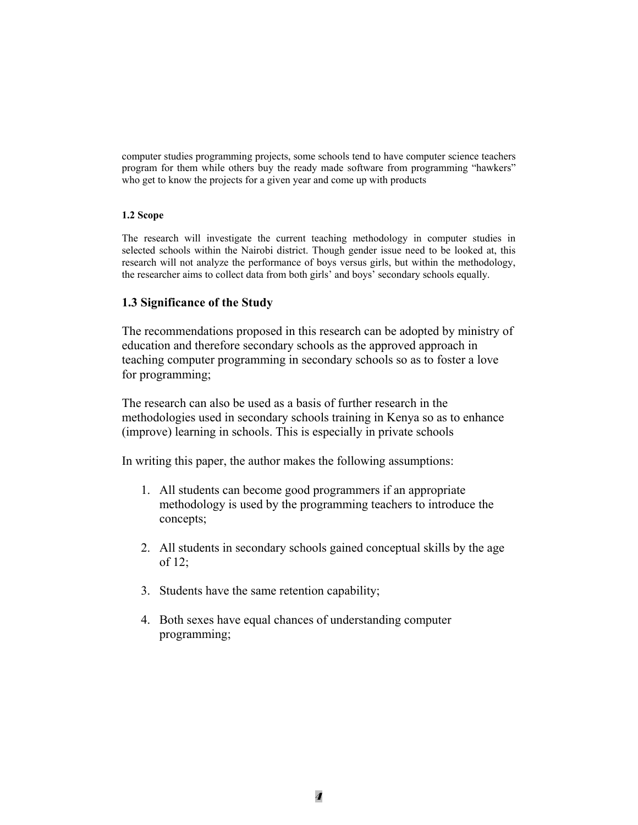computer studies programming projects, some schools tend to have computer science teachers program for them while others buy the ready made software from programming "hawkers" who get to know the projects for a given year and come up with products

## **1.2 Scope**

The research will investigate the current teaching methodology in computer studies in selected schools within the Nairobi district. Though gender issue need to be looked at, this research will not analyze the performance of boys versus girls, but within the methodology, the researcher aims to collect data from both girls' and boys' secondary schools equally.

# **1.3 Significance of the Study**

The recommendations proposed in this research can be adopted by ministry of education and therefore secondary schools as the approved approach in teaching computer programming in secondary schools so as to foster a love for programming;

The research can also be used as a basis of further research in the methodologies used in secondary schools training in Kenya so as to enhance (improve) learning in schools. This is especially in private schools

In writing this paper, the author makes the following assumptions:

- 1. All students can become good programmers if an appropriate methodology is used by the programming teachers to introduce the concepts;
- 2. All students in secondary schools gained conceptual skills by the age of 12;
- 3. Students have the same retention capability;
- 4. Both sexes have equal chances of understanding computer programming;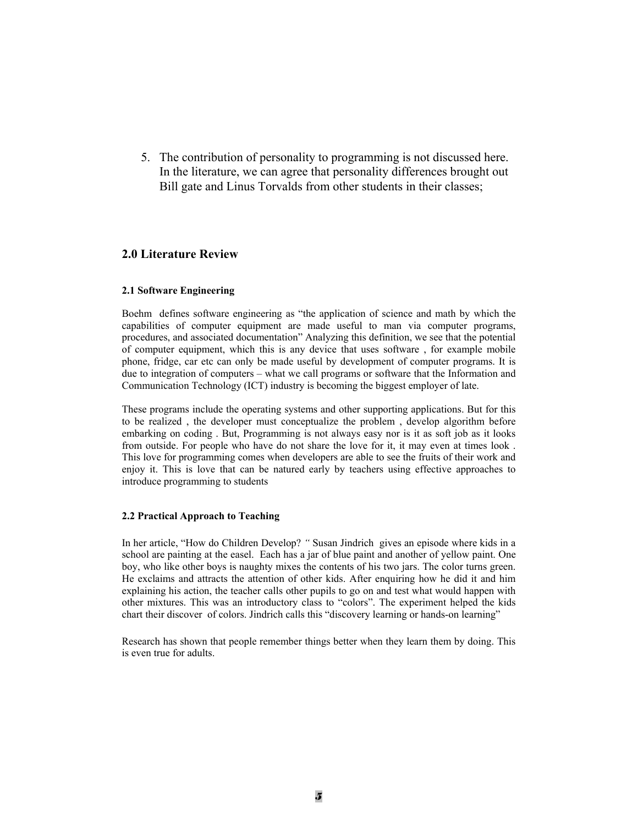5. The contribution of personality to programming is not discussed here. In the literature, we can agree that personality differences brought out Bill gate and Linus Torvalds from other students in their classes;

# **2.0 Literature Review**

#### **2.1 Software Engineering**

Boehm defines software engineering as "the application of science and math by which the capabilities of computer equipment are made useful to man via computer programs, procedures, and associated documentation" Analyzing this definition, we see that the potential of computer equipment, which this is any device that uses software , for example mobile phone, fridge, car etc can only be made useful by development of computer programs. It is due to integration of computers – what we call programs or software that the Information and Communication Technology (ICT) industry is becoming the biggest employer of late.

These programs include the operating systems and other supporting applications. But for this to be realized , the developer must conceptualize the problem , develop algorithm before embarking on coding . But, Programming is not always easy nor is it as soft job as it looks from outside. For people who have do not share the love for it, it may even at times look . This love for programming comes when developers are able to see the fruits of their work and enjoy it. This is love that can be natured early by teachers using effective approaches to introduce programming to students

#### **2.2 Practical Approach to Teaching**

In her article, "How do Children Develop? *"* Susan Jindrich gives an episode where kids in a school are painting at the easel. Each has a jar of blue paint and another of yellow paint. One boy, who like other boys is naughty mixes the contents of his two jars. The color turns green. He exclaims and attracts the attention of other kids. After enquiring how he did it and him explaining his action, the teacher calls other pupils to go on and test what would happen with other mixtures. This was an introductory class to "colors". The experiment helped the kids chart their discover of colors. Jindrich calls this "discovery learning or hands-on learning"

Research has shown that people remember things better when they learn them by doing. This is even true for adults.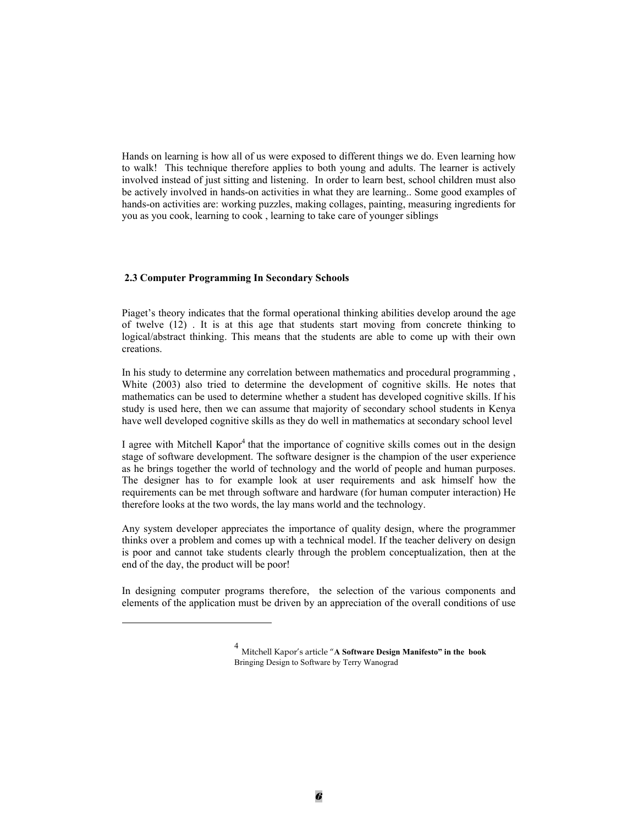Hands on learning is how all of us were exposed to different things we do. Even learning how to walk! This technique therefore applies to both young and adults. The learner is actively involved instead of just sitting and listening. In order to learn best, school children must also be actively involved in hands-on activities in what they are learning.. Some good examples of hands-on activities are: working puzzles, making collages, painting, measuring ingredients for you as you cook, learning to cook , learning to take care of younger siblings

#### **2.3 Computer Programming In Secondary Schools**

 $\overline{a}$ 

Piaget's theory indicates that the formal operational thinking abilities develop around the age of twelve (12) . It is at this age that students start moving from concrete thinking to logical/abstract thinking. This means that the students are able to come up with their own creations.

In his study to determine any correlation between mathematics and procedural programming , White (2003) also tried to determine the development of cognitive skills. He notes that mathematics can be used to determine whether a student has developed cognitive skills. If his study is used here, then we can assume that majority of secondary school students in Kenya have well developed cognitive skills as they do well in mathematics at secondary school level

I agree with Mitchell Kapor<sup>4</sup> that the importance of cognitive skills comes out in the design stage of software development. The software designer is the champion of the user experience as he brings together the world of technology and the world of people and human purposes. The designer has to for example look at user requirements and ask himself how the requirements can be met through software and hardware (for human computer interaction) He therefore looks at the two words, the lay mans world and the technology.

Any system developer appreciates the importance of quality design, where the programmer thinks over a problem and comes up with a technical model. If the teacher delivery on design is poor and cannot take students clearly through the problem conceptualization, then at the end of the day, the product will be poor!

In designing computer programs therefore, the selection of the various components and elements of the application must be driven by an appreciation of the overall conditions of use

<sup>4</sup> Mitchell Kapor's article "**A Software Design Manifesto" in the book**  Bringing Design to Software by Terry Wanograd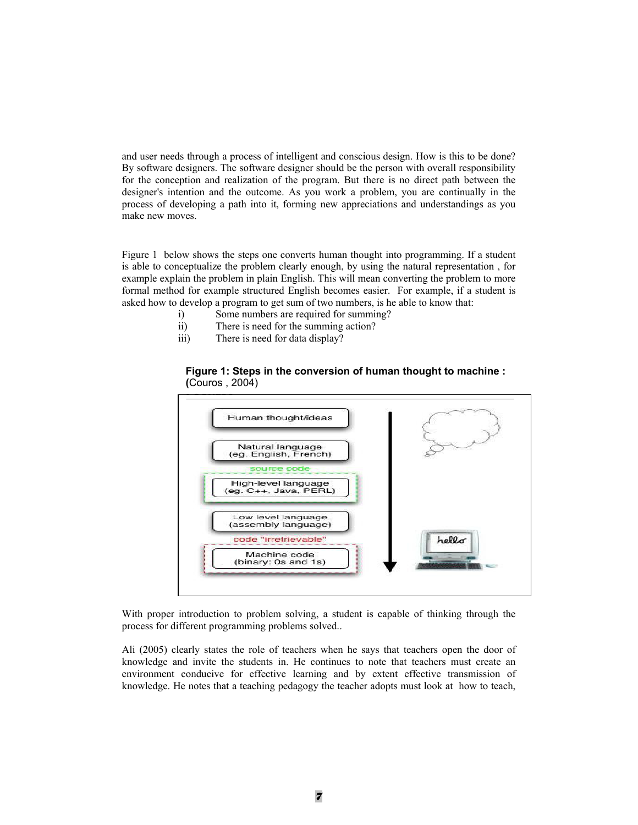and user needs through a process of intelligent and conscious design. How is this to be done? By software designers. The software designer should be the person with overall responsibility for the conception and realization of the program. But there is no direct path between the designer's intention and the outcome. As you work a problem, you are continually in the process of developing a path into it, forming new appreciations and understandings as you make new moves.

Figure 1 below shows the steps one converts human thought into programming. If a student is able to conceptualize the problem clearly enough, by using the natural representation , for example explain the problem in plain English. This will mean converting the problem to more formal method for example structured English becomes easier. For example, if a student is asked how to develop a program to get sum of two numbers, is he able to know that:

- i) Some numbers are required for summing?
- ii) There is need for the summing action?
- iii) There is need for data display?





With proper introduction to problem solving, a student is capable of thinking through the process for different programming problems solved..

Ali (2005) clearly states the role of teachers when he says that teachers open the door of knowledge and invite the students in. He continues to note that teachers must create an environment conducive for effective learning and by extent effective transmission of knowledge. He notes that a teaching pedagogy the teacher adopts must look at how to teach,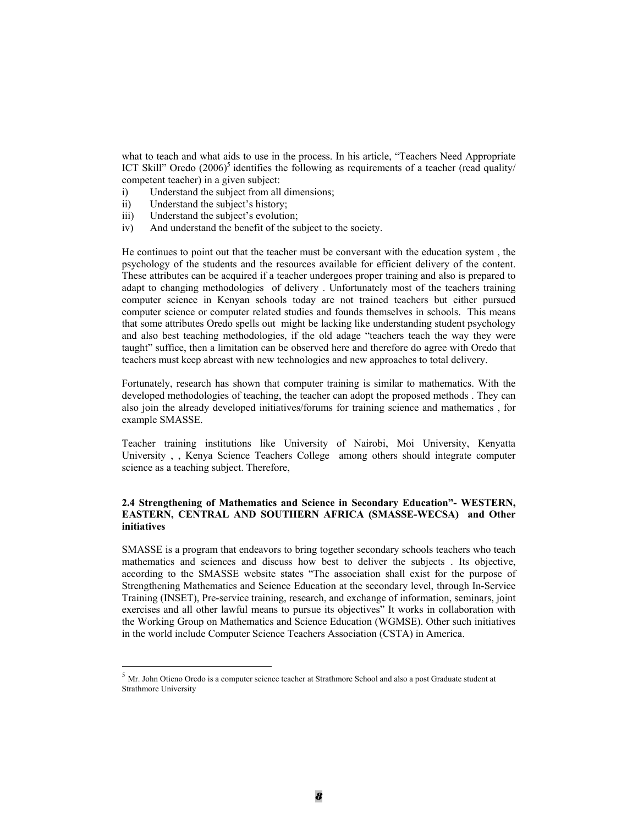what to teach and what aids to use in the process. In his article, "Teachers Need Appropriate ICT Skill" Oredo  $(2006)^5$  identifies the following as requirements of a teacher (read quality/ competent teacher) in a given subject:

- i) Understand the subject from all dimensions;
- ii) Understand the subject's history;

 $\overline{a}$ 

- iii) Understand the subject's evolution;
- iv) And understand the benefit of the subject to the society.

He continues to point out that the teacher must be conversant with the education system , the psychology of the students and the resources available for efficient delivery of the content. These attributes can be acquired if a teacher undergoes proper training and also is prepared to adapt to changing methodologies of delivery . Unfortunately most of the teachers training computer science in Kenyan schools today are not trained teachers but either pursued computer science or computer related studies and founds themselves in schools. This means that some attributes Oredo spells out might be lacking like understanding student psychology and also best teaching methodologies, if the old adage "teachers teach the way they were taught" suffice, then a limitation can be observed here and therefore do agree with Oredo that teachers must keep abreast with new technologies and new approaches to total delivery.

Fortunately, research has shown that computer training is similar to mathematics. With the developed methodologies of teaching, the teacher can adopt the proposed methods . They can also join the already developed initiatives/forums for training science and mathematics , for example SMASSE.

Teacher training institutions like University of Nairobi, Moi University, Kenyatta University , , Kenya Science Teachers College among others should integrate computer science as a teaching subject. Therefore,

### **2.4 Strengthening of Mathematics and Science in Secondary Education"- WESTERN, EASTERN, CENTRAL AND SOUTHERN AFRICA (SMASSE-WECSA) and Other initiatives**

SMASSE is a program that endeavors to bring together secondary schools teachers who teach mathematics and sciences and discuss how best to deliver the subjects . Its objective, according to the SMASSE website states "The association shall exist for the purpose of Strengthening Mathematics and Science Education at the secondary level, through In-Service Training (INSET), Pre-service training, research, and exchange of information, seminars, joint exercises and all other lawful means to pursue its objectives" It works in collaboration with the Working Group on Mathematics and Science Education (WGMSE). Other such initiatives in the world include Computer Science Teachers Association (CSTA) in America.

<sup>5</sup> Mr. John Otieno Oredo is a computer science teacher at Strathmore School and also a post Graduate student at Strathmore University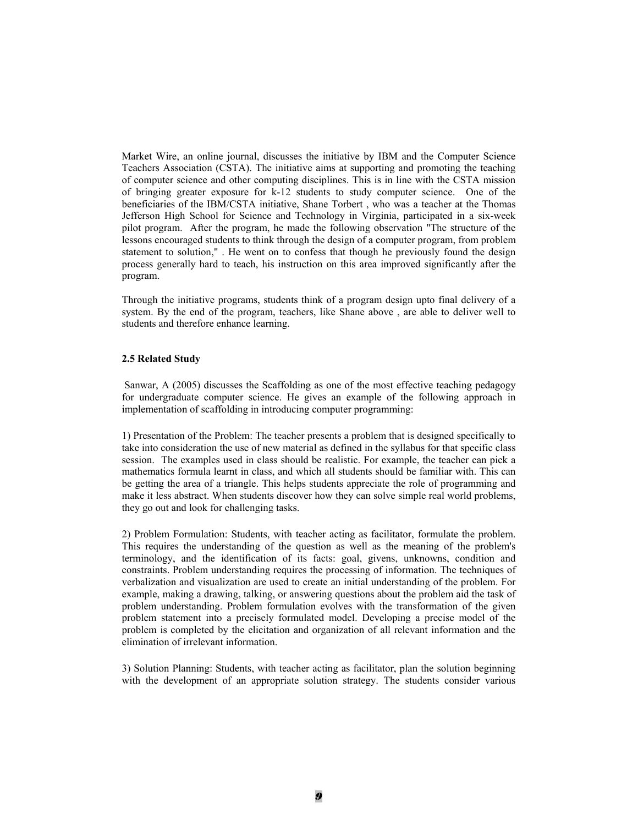Market Wire, an online journal, discusses the initiative by IBM and the Computer Science Teachers Association (CSTA). The initiative aims at supporting and promoting the teaching of computer science and other computing disciplines. This is in line with the CSTA mission of bringing greater exposure for  $k-12$  students to study computer science. One of the beneficiaries of the IBM/CSTA initiative, Shane Torbert , who was a teacher at the Thomas Jefferson High School for Science and Technology in Virginia, participated in a six-week pilot program. After the program, he made the following observation "The structure of the lessons encouraged students to think through the design of a computer program, from problem statement to solution," . He went on to confess that though he previously found the design process generally hard to teach, his instruction on this area improved significantly after the program.

Through the initiative programs, students think of a program design upto final delivery of a system. By the end of the program, teachers, like Shane above , are able to deliver well to students and therefore enhance learning.

#### **2.5 Related Study**

 Sanwar, A (2005) discusses the Scaffolding as one of the most effective teaching pedagogy for undergraduate computer science. He gives an example of the following approach in implementation of scaffolding in introducing computer programming:

1) Presentation of the Problem: The teacher presents a problem that is designed specifically to take into consideration the use of new material as defined in the syllabus for that specific class session. The examples used in class should be realistic. For example, the teacher can pick a mathematics formula learnt in class, and which all students should be familiar with. This can be getting the area of a triangle. This helps students appreciate the role of programming and make it less abstract. When students discover how they can solve simple real world problems, they go out and look for challenging tasks.

2) Problem Formulation: Students, with teacher acting as facilitator, formulate the problem. This requires the understanding of the question as well as the meaning of the problem's terminology, and the identification of its facts: goal, givens, unknowns, condition and constraints. Problem understanding requires the processing of information. The techniques of verbalization and visualization are used to create an initial understanding of the problem. For example, making a drawing, talking, or answering questions about the problem aid the task of problem understanding. Problem formulation evolves with the transformation of the given problem statement into a precisely formulated model. Developing a precise model of the problem is completed by the elicitation and organization of all relevant information and the elimination of irrelevant information.

3) Solution Planning: Students, with teacher acting as facilitator, plan the solution beginning with the development of an appropriate solution strategy. The students consider various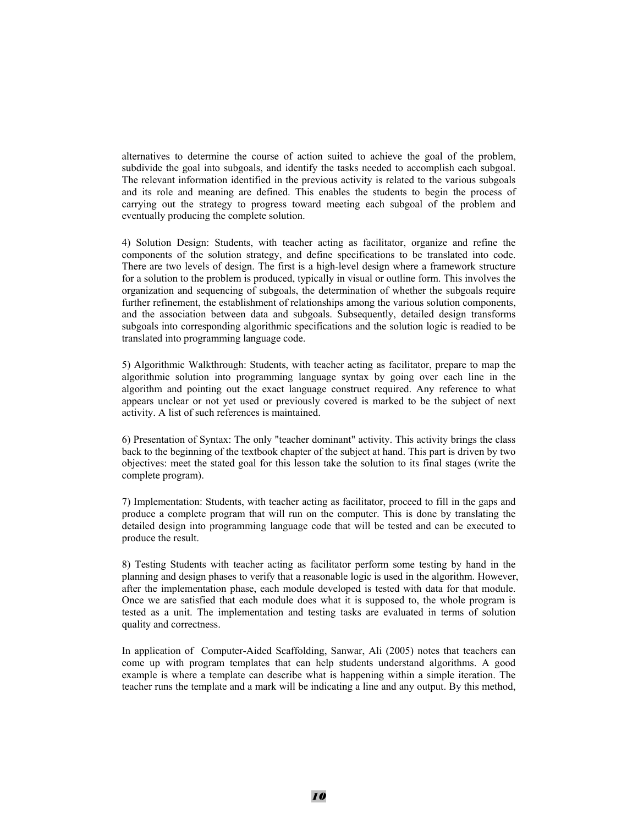alternatives to determine the course of action suited to achieve the goal of the problem, subdivide the goal into subgoals, and identify the tasks needed to accomplish each subgoal. The relevant information identified in the previous activity is related to the various subgoals and its role and meaning are defined. This enables the students to begin the process of carrying out the strategy to progress toward meeting each subgoal of the problem and eventually producing the complete solution.

4) Solution Design: Students, with teacher acting as facilitator, organize and refine the components of the solution strategy, and define specifications to be translated into code. There are two levels of design. The first is a high-level design where a framework structure for a solution to the problem is produced, typically in visual or outline form. This involves the organization and sequencing of subgoals, the determination of whether the subgoals require further refinement, the establishment of relationships among the various solution components, and the association between data and subgoals. Subsequently, detailed design transforms subgoals into corresponding algorithmic specifications and the solution logic is readied to be translated into programming language code.

5) Algorithmic Walkthrough: Students, with teacher acting as facilitator, prepare to map the algorithmic solution into programming language syntax by going over each line in the algorithm and pointing out the exact language construct required. Any reference to what appears unclear or not yet used or previously covered is marked to be the subject of next activity. A list of such references is maintained.

6) Presentation of Syntax: The only "teacher dominant" activity. This activity brings the class back to the beginning of the textbook chapter of the subject at hand. This part is driven by two objectives: meet the stated goal for this lesson take the solution to its final stages (write the complete program).

7) Implementation: Students, with teacher acting as facilitator, proceed to fill in the gaps and produce a complete program that will run on the computer. This is done by translating the detailed design into programming language code that will be tested and can be executed to produce the result.

8) Testing Students with teacher acting as facilitator perform some testing by hand in the planning and design phases to verify that a reasonable logic is used in the algorithm. However, after the implementation phase, each module developed is tested with data for that module. Once we are satisfied that each module does what it is supposed to, the whole program is tested as a unit. The implementation and testing tasks are evaluated in terms of solution quality and correctness.

In application of Computer-Aided Scaffolding, Sanwar, Ali (2005) notes that teachers can come up with program templates that can help students understand algorithms. A good example is where a template can describe what is happening within a simple iteration. The teacher runs the template and a mark will be indicating a line and any output. By this method,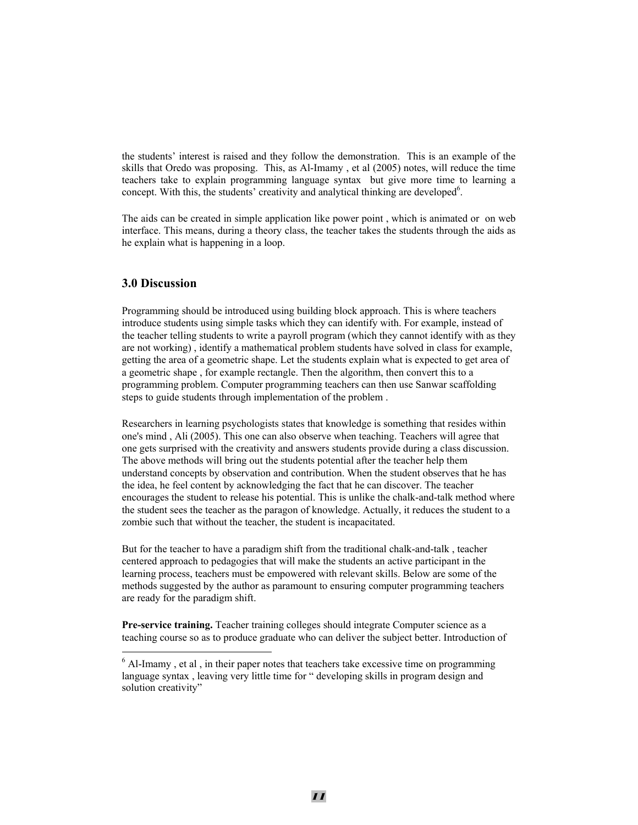the students' interest is raised and they follow the demonstration. This is an example of the skills that Oredo was proposing. This, as Al-Imamy , et al (2005) notes, will reduce the time teachers take to explain programming language syntax but give more time to learning a concept. With this, the students' creativity and analytical thinking are developed<sup>6</sup>.

The aids can be created in simple application like power point , which is animated or on web interface. This means, during a theory class, the teacher takes the students through the aids as he explain what is happening in a loop.

## **3.0 Discussion**

 $\overline{a}$ 

Programming should be introduced using building block approach. This is where teachers introduce students using simple tasks which they can identify with. For example, instead of the teacher telling students to write a payroll program (which they cannot identify with as they are not working) , identify a mathematical problem students have solved in class for example, getting the area of a geometric shape. Let the students explain what is expected to get area of a geometric shape , for example rectangle. Then the algorithm, then convert this to a programming problem. Computer programming teachers can then use Sanwar scaffolding steps to guide students through implementation of the problem .

Researchers in learning psychologists states that knowledge is something that resides within one's mind , Ali (2005). This one can also observe when teaching. Teachers will agree that one gets surprised with the creativity and answers students provide during a class discussion. The above methods will bring out the students potential after the teacher help them understand concepts by observation and contribution. When the student observes that he has the idea, he feel content by acknowledging the fact that he can discover. The teacher encourages the student to release his potential. This is unlike the chalk-and-talk method where the student sees the teacher as the paragon of knowledge. Actually, it reduces the student to a zombie such that without the teacher, the student is incapacitated.

But for the teacher to have a paradigm shift from the traditional chalk-and-talk , teacher centered approach to pedagogies that will make the students an active participant in the learning process, teachers must be empowered with relevant skills. Below are some of the methods suggested by the author as paramount to ensuring computer programming teachers are ready for the paradigm shift.

**Pre-service training.** Teacher training colleges should integrate Computer science as a teaching course so as to produce graduate who can deliver the subject better. Introduction of

 $6$  Al-Imamy, et al, in their paper notes that teachers take excessive time on programming language syntax , leaving very little time for " developing skills in program design and solution creativity"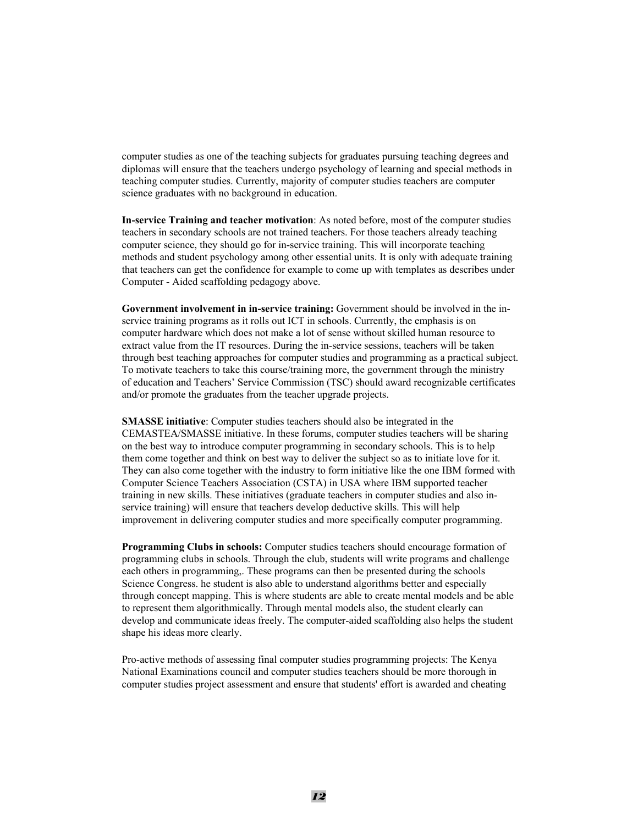computer studies as one of the teaching subjects for graduates pursuing teaching degrees and diplomas will ensure that the teachers undergo psychology of learning and special methods in teaching computer studies. Currently, majority of computer studies teachers are computer science graduates with no background in education.

**In-service Training and teacher motivation**: As noted before, most of the computer studies teachers in secondary schools are not trained teachers. For those teachers already teaching computer science, they should go for in-service training. This will incorporate teaching methods and student psychology among other essential units. It is only with adequate training that teachers can get the confidence for example to come up with templates as describes under Computer - Aided scaffolding pedagogy above.

**Government involvement in in-service training:** Government should be involved in the inservice training programs as it rolls out ICT in schools. Currently, the emphasis is on computer hardware which does not make a lot of sense without skilled human resource to extract value from the IT resources. During the in-service sessions, teachers will be taken through best teaching approaches for computer studies and programming as a practical subject. To motivate teachers to take this course/training more, the government through the ministry of education and Teachers' Service Commission (TSC) should award recognizable certificates and/or promote the graduates from the teacher upgrade projects.

**SMASSE initiative**: Computer studies teachers should also be integrated in the CEMASTEA/SMASSE initiative. In these forums, computer studies teachers will be sharing on the best way to introduce computer programming in secondary schools. This is to help them come together and think on best way to deliver the subject so as to initiate love for it. They can also come together with the industry to form initiative like the one IBM formed with Computer Science Teachers Association (CSTA) in USA where IBM supported teacher training in new skills. These initiatives (graduate teachers in computer studies and also inservice training) will ensure that teachers develop deductive skills. This will help improvement in delivering computer studies and more specifically computer programming.

**Programming Clubs in schools:** Computer studies teachers should encourage formation of programming clubs in schools. Through the club, students will write programs and challenge each others in programming,. These programs can then be presented during the schools Science Congress. he student is also able to understand algorithms better and especially through concept mapping. This is where students are able to create mental models and be able to represent them algorithmically. Through mental models also, the student clearly can develop and communicate ideas freely. The computer-aided scaffolding also helps the student shape his ideas more clearly.

Pro-active methods of assessing final computer studies programming projects: The Kenya National Examinations council and computer studies teachers should be more thorough in computer studies project assessment and ensure that students' effort is awarded and cheating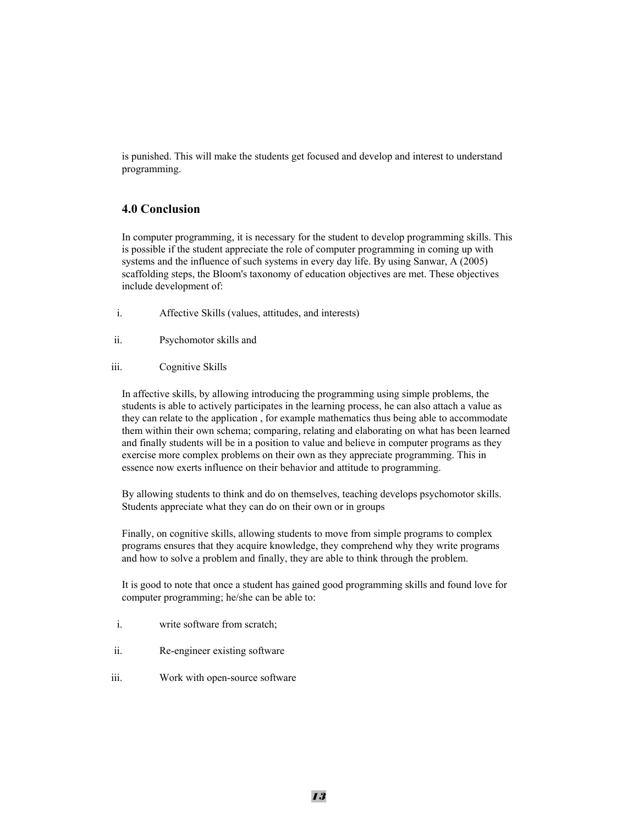is punished. This will make the students get focused and develop and interest to understand programming.

## **4.0 Conclusion**

In computer programming, it is necessary for the student to develop programming skills. This is possible if the student appreciate the role of computer programming in coming up with systems and the influence of such systems in every day life. By using Sanwar, A (2005) scaffolding steps, the Bloom's taxonomy of education objectives are met. These objectives include development of:

- i. Affective Skills (values, attitudes, and interests)
- ii. Psychomotor skills and
- iii. Cognitive Skills

In affective skills, by allowing introducing the programming using simple problems, the students is able to actively participates in the learning process, he can also attach a value as they can relate to the application , for example mathematics thus being able to accommodate them within their own schema; comparing, relating and elaborating on what has been learned and finally students will be in a position to value and believe in computer programs as they exercise more complex problems on their own as they appreciate programming. This in essence now exerts influence on their behavior and attitude to programming.

By allowing students to think and do on themselves, teaching develops psychomotor skills. Students appreciate what they can do on their own or in groups

Finally, on cognitive skills, allowing students to move from simple programs to complex programs ensures that they acquire knowledge, they comprehend why they write programs and how to solve a problem and finally, they are able to think through the problem.

It is good to note that once a student has gained good programming skills and found love for computer programming; he/she can be able to:

- i. write software from scratch;
- ii. Re-engineer existing software
- iii. Work with open-source software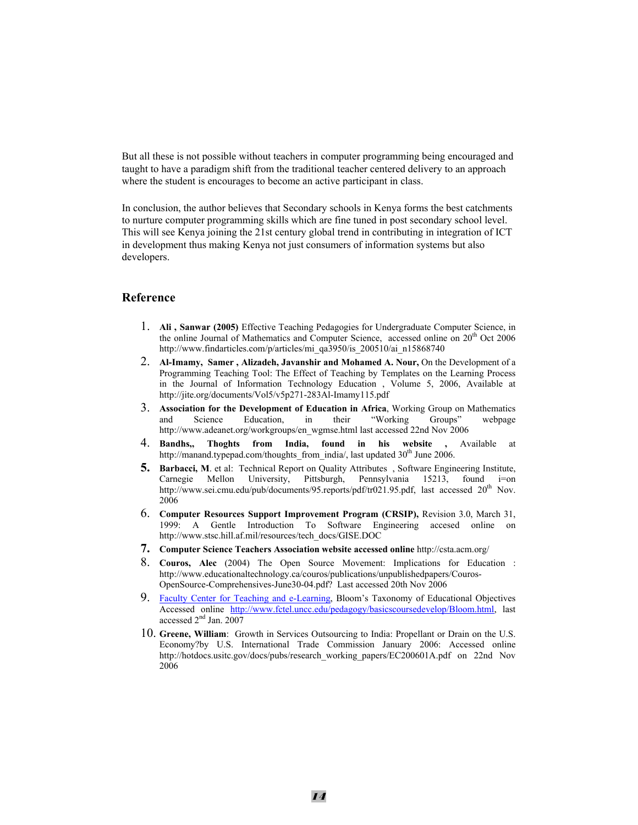But all these is not possible without teachers in computer programming being encouraged and taught to have a paradigm shift from the traditional teacher centered delivery to an approach where the student is encourages to become an active participant in class.

In conclusion, the author believes that Secondary schools in Kenya forms the best catchments to nurture computer programming skills which are fine tuned in post secondary school level. This will see Kenya joining the 21st century global trend in contributing in integration of ICT in development thus making Kenya not just consumers of information systems but also developers.

## **Reference**

- 1. **Ali , Sanwar (2005)** Effective Teaching Pedagogies for Undergraduate Computer Science, in the online Journal of Mathematics and Computer Science, accessed online on 20<sup>th</sup> Oct 2006 http://www.findarticles.com/p/articles/mi\_qa3950/is\_200510/ai\_n15868740
- 2. **Al-Imamy, Samer , Alizadeh, Javanshir and Mohamed A. Nour,** On the Development of a Programming Teaching Tool: The Effect of Teaching by Templates on the Learning Process in the Journal of Information Technology Education , Volume 5, 2006, Available at http://jite.org/documents/Vol5/v5p271-283Al-Imamy115.pdf
- 3. **Association for the Development of Education in Africa**, Working Group on Mathematics and Science Education, in their "Working Groups" webpage and Science Education, in their "Working Groups" webpage http://www.adeanet.org/workgroups/en\_wgmse.html last accessed 22nd Nov 2006
- 4. **Bandhs,, Thoghts from India, found in his website ,** Available at http://manand.typepad.com/thoughts from india/, last updated 30<sup>th</sup> June 2006.
- **5. Barbacci, M**. et al: Technical Report on Quality Attributes , Software Engineering Institute, Carnegie Mellon University, Pittsburgh, Pennsylvania 15213, found i=on http://www.sei.cmu.edu/pub/documents/95.reports/pdf/tr021.95.pdf, last accessed  $20<sup>th</sup>$  Nov. 2006
- 6. **Computer Resources Support Improvement Program (CRSIP),** Revision 3.0, March 31, 1999: A Gentle Introduction To Software Engineering accesed online on http://www.stsc.hill.af.mil/resources/tech\_docs/GISE.DOC
- **7. Computer Science Teachers Association website accessed online** http://csta.acm.org/
- 8. **Couros, Alec** (2004) The Open Source Movement: Implications for Education : http://www.educationaltechnology.ca/couros/publications/unpublishedpapers/Couros-OpenSource-Comprehensives-June30-04.pdf? Last accessed 20th Nov 2006
- 9. Faculty Center for Teaching and e-Learning, Bloom's Taxonomy of Educational Objectives Accessed online http://www.fctel.uncc.edu/pedagogy/basicscoursedevelop/Bloom.html, last accessed 2<sup>nd</sup> Jan. 2007
- 10. **Greene, William**: Growth in Services Outsourcing to India: Propellant or Drain on the U.S. Economy?by U.S. International Trade Commission January 2006: Accessed online http://hotdocs.usitc.gov/docs/pubs/research\_working\_papers/EC200601A.pdf on 22nd Nov 2006